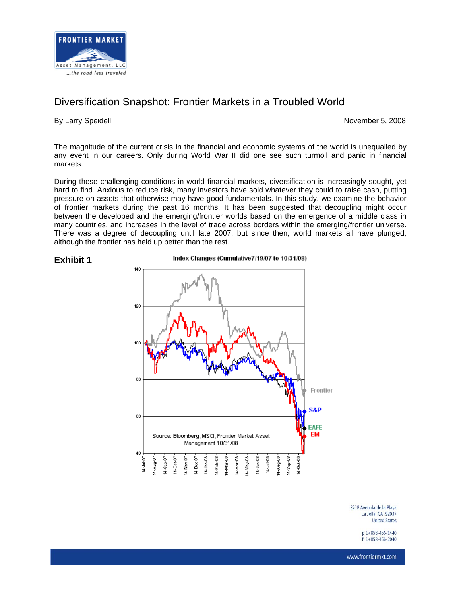

# Diversification Snapshot: Frontier Markets in a Troubled World

By Larry Speidell **November 5, 2008** 

The magnitude of the current crisis in the financial and economic systems of the world is unequalled by any event in our careers. Only during World War II did one see such turmoil and panic in financial markets.

During these challenging conditions in world financial markets, diversification is increasingly sought, yet hard to find. Anxious to reduce risk, many investors have sold whatever they could to raise cash, putting pressure on assets that otherwise may have good fundamentals. In this study, we examine the behavior of frontier markets during the past 16 months. It has been suggested that decoupling might occur between the developed and the emerging/frontier worlds based on the emergence of a middle class in many countries, and increases in the level of trade across borders within the emerging/frontier universe. There was a degree of decoupling until late 2007, but since then, world markets all have plunged, although the frontier has held up better than the rest.



Index Changes (Cumulative7/19/07 to 10/31/08)



2218 Avenida de la Plava La Jolla, CA 92037 **United States** 

> p 1+858-456-1440  $f$ 1+858-456-2040

www.frontiermkt.com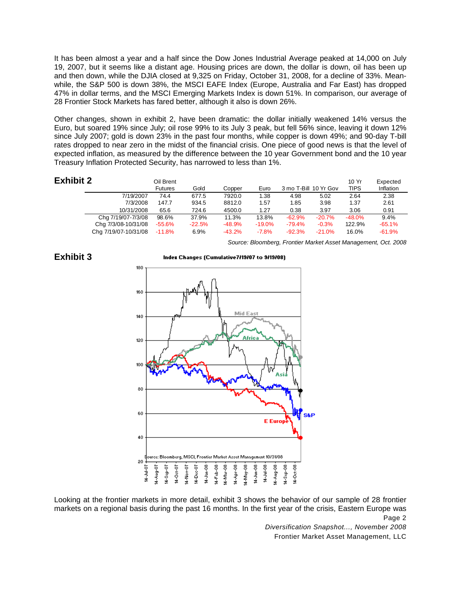It has been almost a year and a half since the Dow Jones Industrial Average peaked at 14,000 on July 19, 2007, but it seems like a distant age. Housing prices are down, the dollar is down, oil has been up and then down, while the DJIA closed at 9,325 on Friday, October 31, 2008, for a decline of 33%. Meanwhile, the S&P 500 is down 38%, the MSCI EAFE Index (Europe, Australia and Far East) has dropped 47% in dollar terms, and the MSCI Emerging Markets Index is down 51%. In comparison, our average of 28 Frontier Stock Markets has fared better, although it also is down 26%.

Other changes, shown in exhibit 2, have been dramatic: the dollar initially weakened 14% versus the Euro, but soared 19% since July; oil rose 99% to its July 3 peak, but fell 56% since, leaving it down 12% since July 2007; gold is down 23% in the past four months, while copper is down 49%; and 90-day T-bill rates dropped to near zero in the midst of the financial crisis. One piece of good news is that the level of expected inflation, as measured by the difference between the 10 year Government bond and the 10 year Treasury Inflation Protected Security, has narrowed to less than 1%.

| <b>Exhibit 2</b> |                      | Oil Brent<br><b>Futures</b> | Gold     | Copper   | Euro     | 3 mo T-Bill 10 Yr Gov |          | 10 Yr<br><b>TIPS</b> | Expected<br>Inflation |
|------------------|----------------------|-----------------------------|----------|----------|----------|-----------------------|----------|----------------------|-----------------------|
|                  | 7/19/2007            | 74.4                        | 677.5    | 7920.0   | 1.38     | 4.98                  | 5.02     | 2.64                 | 2.38                  |
|                  | 7/3/2008             | 147.7                       | 934.5    | 8812.0   | 1.57     | 1.85                  | 3.98     | 1.37                 | 2.61                  |
|                  | 10/31/2008           | 65.6                        | 724.6    | 4500.0   | 1.27     | 0.38                  | 3.97     | 3.06                 | 0.91                  |
|                  | Chg 7/19/07-7/3/08   | 98.6%                       | 37.9%    | 11.3%    | 13.8%    | $-62.9%$              | $-20.7%$ | $-48.0%$             | 9.4%                  |
|                  | Chg 7/3/08-10/31/08  | $-55.6%$                    | $-22.5%$ | $-48.9%$ | $-19.0%$ | $-79.4%$              | $-0.3%$  | 122.9%               | $-65.1%$              |
|                  | Chg 7/19/07-10/31/08 | $-11.8\%$                   | 6.9%     | $-43.2%$ | $-7.8%$  | $-92.3%$              | $-21.0%$ | 16.0%                | $-61.9%$              |

*Source: Bloomberg, Frontier Market Asset Management, Oct. 2008*



### **Exhibit 3**

Page 2 - Page 2 - Page 2 - Page 2 - Page 2 - Page 2 - Page 2 - Page 2 - Page 2 - Page 2 - Page 2 Looking at the frontier markets in more detail, exhibit 3 shows the behavior of our sample of 28 frontier markets on a regional basis during the past 16 months. In the first year of the crisis, Eastern Europe was

> *Diversification Snapshot..., November 2008*  Frontier Market Asset Management, LLC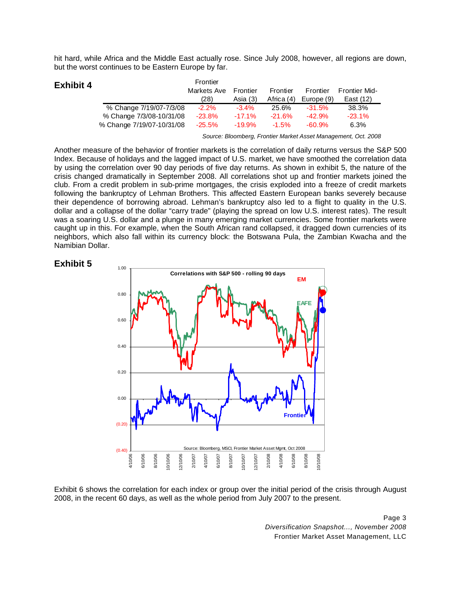hit hard, while Africa and the Middle East actually rose. Since July 2008, however, all regions are down, but the worst continues to be Eastern Europe by far.

| <b>Exhibit 4</b> | Frontier                  |             |           |            |            |                      |  |  |
|------------------|---------------------------|-------------|-----------|------------|------------|----------------------|--|--|
|                  |                           | Markets Ave | Frontier  | Frontier   | Frontier   | <b>Frontier Mid-</b> |  |  |
|                  |                           | (28)        | Asia (3)  | Africa (4) | Europe (9) | East (12)            |  |  |
|                  | % Change 7/19/07-7/3/08   | $-2.2\%$    | $-3.4\%$  | 25.6%      | $-31.5%$   | 38.3%                |  |  |
|                  | % Change 7/3/08-10/31/08  | $-23.8\%$   | $-17.1\%$ | $-21.6%$   | $-42.9%$   | $-23.1\%$            |  |  |
|                  | % Change 7/19/07-10/31/08 | $-25.5\%$   | $-19.9\%$ | $-1.5%$    | $-60.9%$   | 6.3%                 |  |  |

*Source: Bloomberg, Frontier Market Asset Management, Oct. 2008*

Another measure of the behavior of frontier markets is the correlation of daily returns versus the S&P 500 Index. Because of holidays and the lagged impact of U.S. market, we have smoothed the correlation data by using the correlation over 90 day periods of five day returns. As shown in exhibit 5, the nature of the crisis changed dramatically in September 2008. All correlations shot up and frontier markets joined the club. From a credit problem in sub-prime mortgages, the crisis exploded into a freeze of credit markets following the bankruptcy of Lehman Brothers. This affected Eastern European banks severely because their dependence of borrowing abroad. Lehman's bankruptcy also led to a flight to quality in the U.S. dollar and a collapse of the dollar "carry trade" (playing the spread on low U.S. interest rates). The result was a soaring U.S. dollar and a plunge in many emerging market currencies. Some frontier markets were caught up in this. For example, when the South African rand collapsed, it dragged down currencies of its neighbors, which also fall within its currency block: the Botswana Pula, the Zambian Kwacha and the Namibian Dollar.





Exhibit 6 shows the correlation for each index or group over the initial period of the crisis through August 2008, in the recent 60 days, as well as the whole period from July 2007 to the present.

Page 3 and 2012 to 2012 the control of the control of the control of the control of the control of the control of the control of the control of the control of the control of the control of the control of the control of the *Diversification Snapshot..., November 2008*  Frontier Market Asset Management, LLC